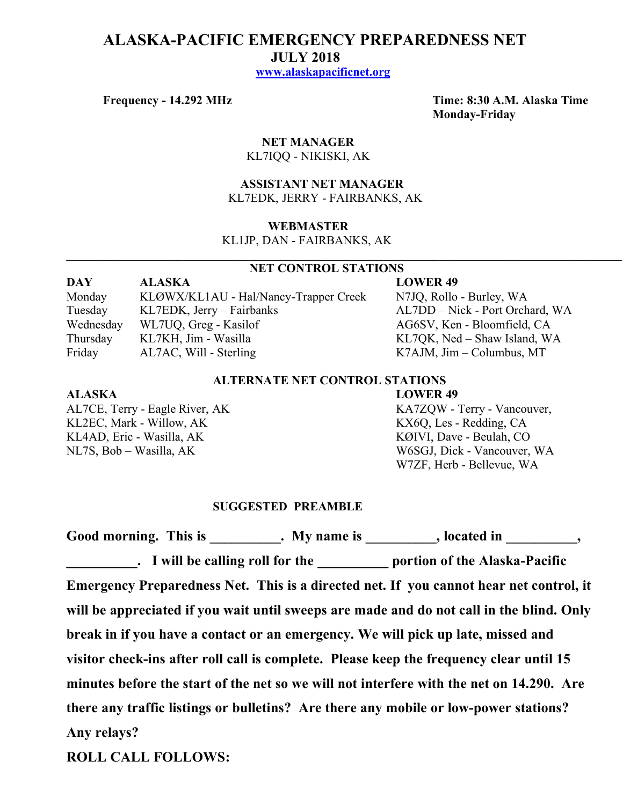# **ALASKA-PACIFIC EMERGENCY PREPAREDNESS NET JULY 2018 www.alaskapacificnet.org**

**Frequency - 14.292 MHz Time: 8:30 A.M. Alaska Time Monday-Friday**

# **NET MANAGER** KL7IQQ - NIKISKI, AK

# **ASSISTANT NET MANAGER**  KL7EDK, JERRY - FAIRBANKS, AK

#### **WEBMASTER**

KL1JP, DAN - FAIRBANKS, AK

# **NET CONTROL STATIONS**

 $\mathcal{L}_\mathcal{L} = \{ \mathcal{L}_\mathcal{L} = \{ \mathcal{L}_\mathcal{L} = \{ \mathcal{L}_\mathcal{L} = \{ \mathcal{L}_\mathcal{L} = \{ \mathcal{L}_\mathcal{L} = \{ \mathcal{L}_\mathcal{L} = \{ \mathcal{L}_\mathcal{L} = \{ \mathcal{L}_\mathcal{L} = \{ \mathcal{L}_\mathcal{L} = \{ \mathcal{L}_\mathcal{L} = \{ \mathcal{L}_\mathcal{L} = \{ \mathcal{L}_\mathcal{L} = \{ \mathcal{L}_\mathcal{L} = \{ \mathcal{L}_\mathcal{$ 

| <b>DAY</b> | <b>ALASKA</b>                         | <b>LOWER 49</b>                 |
|------------|---------------------------------------|---------------------------------|
| Monday     | KLØWX/KL1AU - Hal/Nancy-Trapper Creek | N7JQ, Rollo - Burley, WA        |
| Tuesday    | $KL7EDK$ , Jerry – Fairbanks          | AL7DD – Nick - Port Orchard, WA |
| Wednesday  | WL7UQ, Greg - Kasilof                 | AG6SV, Ken - Bloomfield, CA     |
| Thursday   | KL7KH, Jim - Wasilla                  | KL7QK, Ned – Shaw Island, WA    |
| Friday     | AL7AC, Will - Sterling                | $K7$ AJM, Jim – Columbus, MT    |

# **ALTERNATE NET CONTROL STATIONS**

#### **ALASKA LOWER 49**

KL2EC, Mark - Willow, AK KX6Q, Les - Redding, CA KL4AD, Eric - Wasilla, AK KØIVI, Dave - Beulah, CO NL7S, Bob – Wasilla, AK W6SGJ, Dick - Vancouver, WA

AL7CE, Terry - Eagle River, AK KA7ZOW - Terry - Vancouver, W7ZF, Herb - Bellevue, WA

#### **SUGGESTED PREAMBLE**

Good morning. This is This is the My name is the second in the second in the second in the second in the second in the second in the second in the second in the second in the second in the second in the second in the secon **Last Equilible calling roll for the Lease Contract Pacific Lease Pacific Lease Pacific Emergency Preparedness Net. This is a directed net. If you cannot hear net control, it will be appreciated if you wait until sweeps are made and do not call in the blind. Only break in if you have a contact or an emergency. We will pick up late, missed and visitor check-ins after roll call is complete. Please keep the frequency clear until 15 minutes before the start of the net so we will not interfere with the net on 14.290. Are there any traffic listings or bulletins? Are there any mobile or low-power stations? Any relays?** 

**ROLL CALL FOLLOWS:**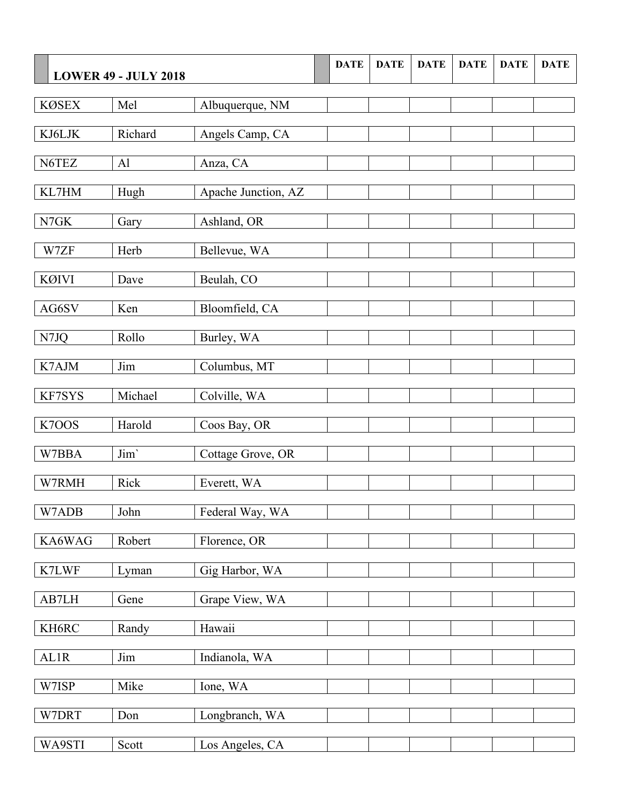|              | <b>LOWER 49 - JULY 2018</b> |                     | <b>DATE</b> | <b>DATE</b> | <b>DATE</b> | <b>DATE</b> | <b>DATE</b> | <b>DATE</b> |
|--------------|-----------------------------|---------------------|-------------|-------------|-------------|-------------|-------------|-------------|
| <b>KØSEX</b> | Mel                         | Albuquerque, NM     |             |             |             |             |             |             |
|              |                             |                     |             |             |             |             |             |             |
| KJ6LJK       | Richard                     | Angels Camp, CA     |             |             |             |             |             |             |
| N6TEZ        | AI                          | Anza, CA            |             |             |             |             |             |             |
| KL7HM        | Hugh                        | Apache Junction, AZ |             |             |             |             |             |             |
| ${\rm N7GK}$ | Gary                        | Ashland, OR         |             |             |             |             |             |             |
| W7ZF         | Herb                        | Bellevue, WA        |             |             |             |             |             |             |
| <b>KØIVI</b> | Dave                        | Beulah, CO          |             |             |             |             |             |             |
| AG6SV        | Ken                         | Bloomfield, CA      |             |             |             |             |             |             |
| N7JQ         | Rollo                       | Burley, WA          |             |             |             |             |             |             |
| K7AJM        | Jim                         | Columbus, MT        |             |             |             |             |             |             |
| KF7SYS       | Michael                     | Colville, WA        |             |             |             |             |             |             |
| K7OOS        | Harold                      | Coos Bay, OR        |             |             |             |             |             |             |
| W7BBA        | Jim'                        | Cottage Grove, OR   |             |             |             |             |             |             |
| W7RMH        | Rick                        | Everett, WA         |             |             |             |             |             |             |
| W7ADB        | John                        | Federal Way, WA     |             |             |             |             |             |             |
| KA6WAG       | Robert                      | Florence, OR        |             |             |             |             |             |             |
| K7LWF        | Lyman                       | Gig Harbor, WA      |             |             |             |             |             |             |
| AB7LH        | Gene                        | Grape View, WA      |             |             |             |             |             |             |
| KH6RC        | Randy                       | Hawaii              |             |             |             |             |             |             |
| AL1R         | Jim                         | Indianola, WA       |             |             |             |             |             |             |
| W7ISP        | Mike                        | Ione, WA            |             |             |             |             |             |             |
| W7DRT        | Don                         | Longbranch, WA      |             |             |             |             |             |             |
| WA9STI       | Scott                       | Los Angeles, CA     |             |             |             |             |             |             |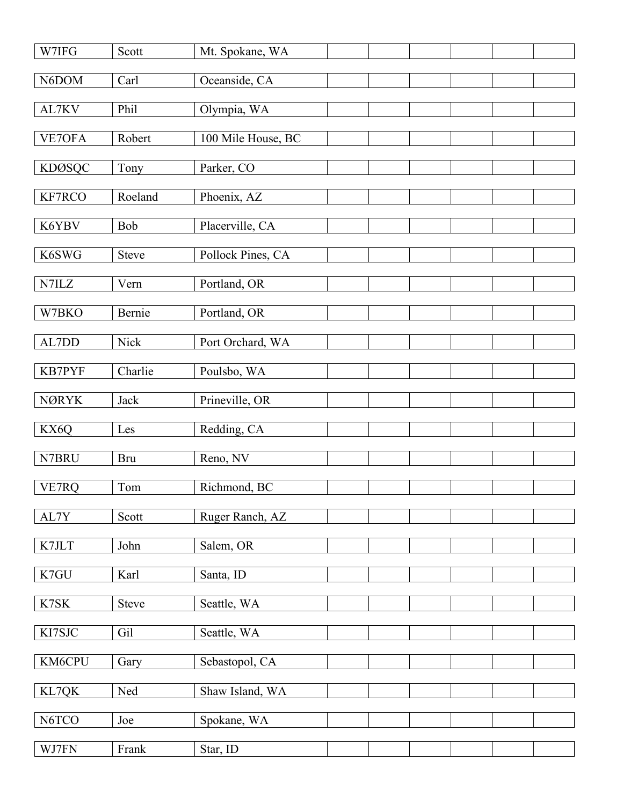| W7IFG                         | Scott        | Mt. Spokane, WA    |  |  |  |
|-------------------------------|--------------|--------------------|--|--|--|
| N6DOM                         | Carl         | Oceanside, CA      |  |  |  |
| AL7KV                         | Phil         | Olympia, WA        |  |  |  |
| VE7OFA                        | Robert       | 100 Mile House, BC |  |  |  |
| <b>KDØSQC</b>                 | Tony         | Parker, CO         |  |  |  |
|                               |              |                    |  |  |  |
| KF7RCO                        | Roeland      | Phoenix, AZ        |  |  |  |
| K6YBV                         | Bob          | Placerville, CA    |  |  |  |
| K6SWG                         | <b>Steve</b> | Pollock Pines, CA  |  |  |  |
| $\ensuremath{\mathrm{N7ILZ}}$ | Vern         | Portland, OR       |  |  |  |
| W7BKO                         | Bernie       | Portland, OR       |  |  |  |
| AL7DD                         | Nick         | Port Orchard, WA   |  |  |  |
|                               |              |                    |  |  |  |
| <b>KB7PYF</b>                 | Charlie      | Poulsbo, WA        |  |  |  |
| <b>NØRYK</b>                  | Jack         | Prineville, OR     |  |  |  |
| KX6Q                          | Les          | Redding, CA        |  |  |  |
| N7BRU                         | <b>Bru</b>   | Reno, NV           |  |  |  |
| VE7RQ                         | Tom          | Richmond, BC       |  |  |  |
| AL7Y                          | Scott        | Ruger Ranch, AZ    |  |  |  |
| K7JLT                         | John         | Salem, OR          |  |  |  |
|                               |              |                    |  |  |  |
| K7GU                          | Karl         | Santa, ID          |  |  |  |
| K7SK                          | <b>Steve</b> | Seattle, WA        |  |  |  |
| KI7SJC                        | Gil          | Seattle, WA        |  |  |  |
| KM6CPU                        | Gary         | Sebastopol, CA     |  |  |  |
| KL7QK                         | Ned          | Shaw Island, WA    |  |  |  |
| N6TCO                         | Joe          | Spokane, WA        |  |  |  |
| WJ7FN                         | Frank        | Star, ID           |  |  |  |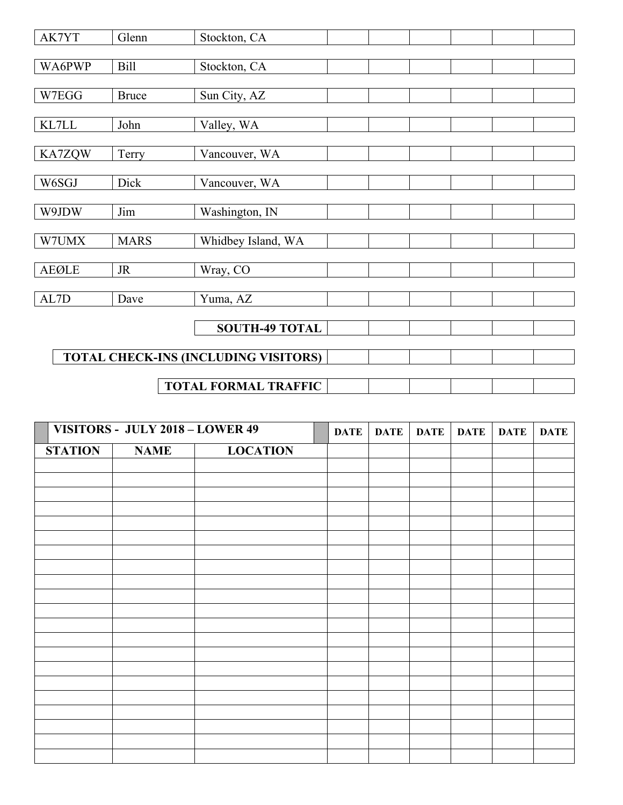| AK7YT        | Glenn                                       | Stockton, CA                |  |  |  |  |  |  |  |
|--------------|---------------------------------------------|-----------------------------|--|--|--|--|--|--|--|
|              |                                             |                             |  |  |  |  |  |  |  |
| WA6PWP       | <b>Bill</b>                                 | Stockton, CA                |  |  |  |  |  |  |  |
|              |                                             |                             |  |  |  |  |  |  |  |
| W7EGG        | <b>Bruce</b>                                | Sun City, AZ                |  |  |  |  |  |  |  |
|              |                                             |                             |  |  |  |  |  |  |  |
| KL7LL        | John                                        | Valley, WA                  |  |  |  |  |  |  |  |
|              |                                             |                             |  |  |  |  |  |  |  |
| KA7ZQW       | Terry                                       | Vancouver, WA               |  |  |  |  |  |  |  |
|              |                                             |                             |  |  |  |  |  |  |  |
| W6SGJ        | Dick                                        | Vancouver, WA               |  |  |  |  |  |  |  |
|              |                                             |                             |  |  |  |  |  |  |  |
| W9JDW        | Jim                                         | Washington, IN              |  |  |  |  |  |  |  |
|              |                                             |                             |  |  |  |  |  |  |  |
| W7UMX        | <b>MARS</b>                                 | Whidbey Island, WA          |  |  |  |  |  |  |  |
|              |                                             |                             |  |  |  |  |  |  |  |
| <b>AEØLE</b> | <b>JR</b>                                   | Wray, CO                    |  |  |  |  |  |  |  |
| AL7D         | Dave                                        | Yuma, AZ                    |  |  |  |  |  |  |  |
|              |                                             |                             |  |  |  |  |  |  |  |
|              |                                             | <b>SOUTH-49 TOTAL</b>       |  |  |  |  |  |  |  |
|              |                                             |                             |  |  |  |  |  |  |  |
|              | <b>TOTAL CHECK-INS (INCLUDING VISITORS)</b> |                             |  |  |  |  |  |  |  |
|              |                                             |                             |  |  |  |  |  |  |  |
|              |                                             | <b>TOTAL FORMAL TRAFFIC</b> |  |  |  |  |  |  |  |

| VISITORS - JULY 2018 - LOWER 49 |             | <b>DATE</b>     | DATE | <b>DATE</b> | <b>DATE</b> | <b>DATE</b> | <b>DATE</b> |  |
|---------------------------------|-------------|-----------------|------|-------------|-------------|-------------|-------------|--|
| <b>STATION</b>                  | <b>NAME</b> | <b>LOCATION</b> |      |             |             |             |             |  |
|                                 |             |                 |      |             |             |             |             |  |
|                                 |             |                 |      |             |             |             |             |  |
|                                 |             |                 |      |             |             |             |             |  |
|                                 |             |                 |      |             |             |             |             |  |
|                                 |             |                 |      |             |             |             |             |  |
|                                 |             |                 |      |             |             |             |             |  |
|                                 |             |                 |      |             |             |             |             |  |
|                                 |             |                 |      |             |             |             |             |  |
|                                 |             |                 |      |             |             |             |             |  |
|                                 |             |                 |      |             |             |             |             |  |
|                                 |             |                 |      |             |             |             |             |  |
|                                 |             |                 |      |             |             |             |             |  |
|                                 |             |                 |      |             |             |             |             |  |
|                                 |             |                 |      |             |             |             |             |  |
|                                 |             |                 |      |             |             |             |             |  |
|                                 |             |                 |      |             |             |             |             |  |
|                                 |             |                 |      |             |             |             |             |  |
|                                 |             |                 |      |             |             |             |             |  |
|                                 |             |                 |      |             |             |             |             |  |
|                                 |             |                 |      |             |             |             |             |  |
|                                 |             |                 |      |             |             |             |             |  |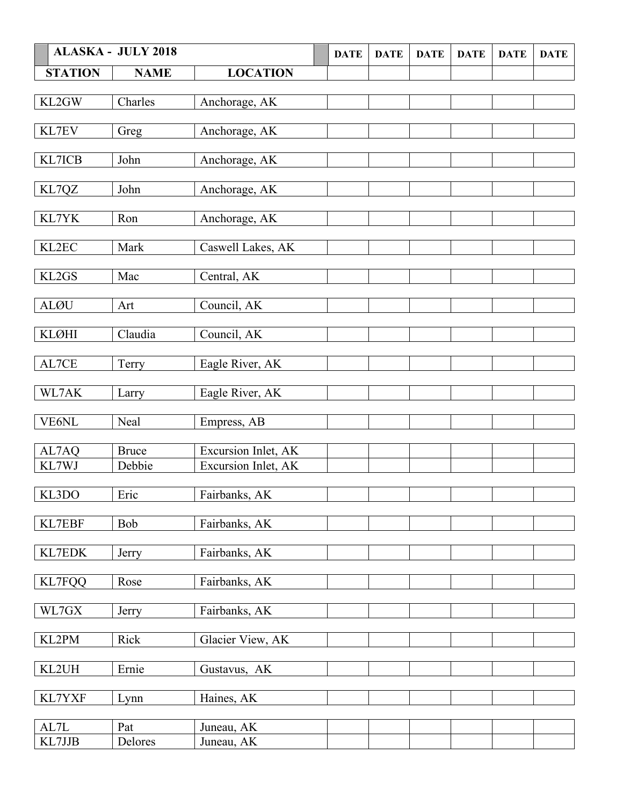|                | <b>ALASKA - JULY 2018</b> |                     | <b>DATE</b> | <b>DATE</b> | <b>DATE</b> | <b>DATE</b> | <b>DATE</b> | <b>DATE</b> |
|----------------|---------------------------|---------------------|-------------|-------------|-------------|-------------|-------------|-------------|
| <b>STATION</b> | <b>NAME</b>               | <b>LOCATION</b>     |             |             |             |             |             |             |
| KL2GW          | Charles                   | Anchorage, AK       |             |             |             |             |             |             |
|                |                           |                     |             |             |             |             |             |             |
| KL7EV          | Greg                      | Anchorage, AK       |             |             |             |             |             |             |
| KL7ICB         | John                      | Anchorage, AK       |             |             |             |             |             |             |
| KL7QZ          | John                      | Anchorage, AK       |             |             |             |             |             |             |
| KL7YK          | Ron                       | Anchorage, AK       |             |             |             |             |             |             |
| KL2EC          | Mark                      | Caswell Lakes, AK   |             |             |             |             |             |             |
| KL2GS          | Mac                       | Central, AK         |             |             |             |             |             |             |
| <b>ALØU</b>    | Art                       | Council, AK         |             |             |             |             |             |             |
| <b>KLØHI</b>   | Claudia                   | Council, AK         |             |             |             |             |             |             |
| AL7CE          | Terry                     | Eagle River, AK     |             |             |             |             |             |             |
| WL7AK          | Larry                     | Eagle River, AK     |             |             |             |             |             |             |
| <b>VE6NL</b>   | Neal                      | Empress, AB         |             |             |             |             |             |             |
| AL7AQ          | <b>Bruce</b>              | Excursion Inlet, AK |             |             |             |             |             |             |
| KL7WJ          | Debbie                    | Excursion Inlet, AK |             |             |             |             |             |             |
| KL3DO          | Eric                      | Fairbanks, AK       |             |             |             |             |             |             |
| KL7EBF         | Bob                       | Fairbanks, AK       |             |             |             |             |             |             |
| KL7EDK         | Jerry                     | Fairbanks, AK       |             |             |             |             |             |             |
| <b>KL7FQQ</b>  | Rose                      | Fairbanks, AK       |             |             |             |             |             |             |
| WL7GX          | Jerry                     | Fairbanks, AK       |             |             |             |             |             |             |
| KL2PM          | Rick                      | Glacier View, AK    |             |             |             |             |             |             |
| KL2UH          | Ernie                     | Gustavus, AK        |             |             |             |             |             |             |
| KL7YXF         | Lynn                      | Haines, AK          |             |             |             |             |             |             |
| $\mbox{AL7L}$  | Pat                       | Juneau, AK          |             |             |             |             |             |             |
| KL7JJB         | Delores                   | Juneau, AK          |             |             |             |             |             |             |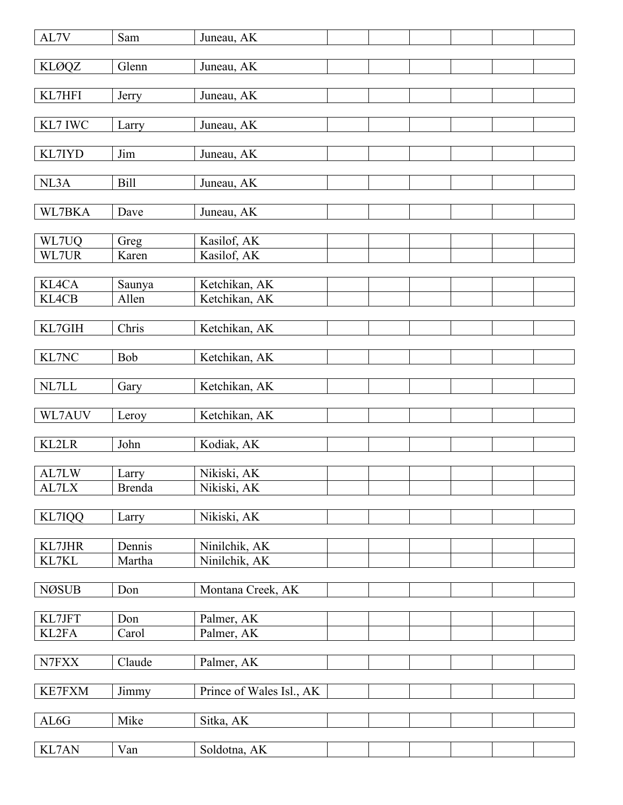| AL7V         | Sam           | Juneau, AK               |  |  |  |
|--------------|---------------|--------------------------|--|--|--|
| <b>KLØQZ</b> | Glenn         | Juneau, AK               |  |  |  |
|              |               |                          |  |  |  |
| KL7HFI       | Jerry         | Juneau, AK               |  |  |  |
|              |               |                          |  |  |  |
| KL7 IWC      | Larry         | Juneau, AK               |  |  |  |
| KL7IYD       | Jim           | Juneau, AK               |  |  |  |
|              |               |                          |  |  |  |
| NL3A         | <b>Bill</b>   | Juneau, AK               |  |  |  |
|              |               |                          |  |  |  |
| WL7BKA       | Dave          | Juneau, AK               |  |  |  |
| WL7UQ        | Greg          | Kasilof, AK              |  |  |  |
| WL7UR        | Karen         | Kasilof, AK              |  |  |  |
|              |               |                          |  |  |  |
| KL4CA        | Saunya        | Ketchikan, AK            |  |  |  |
| KL4CB        | Allen         | Ketchikan, AK            |  |  |  |
|              |               |                          |  |  |  |
| KL7GIH       | Chris         | Ketchikan, AK            |  |  |  |
| KL7NC        | Bob           | Ketchikan, AK            |  |  |  |
|              |               |                          |  |  |  |
| $\it NL7LL$  | Gary          | Ketchikan, AK            |  |  |  |
|              |               |                          |  |  |  |
| WL7AUV       | Leroy         | Ketchikan, AK            |  |  |  |
|              |               |                          |  |  |  |
| KL2LR        | John          | Kodiak, AK               |  |  |  |
| AL7LW        | Larry         | Nikiski, AK              |  |  |  |
| AL7LX        | <b>Brenda</b> | Nikiski, AK              |  |  |  |
|              |               |                          |  |  |  |
| KL7IQQ       | Larry         | Nikiski, AK              |  |  |  |
|              |               |                          |  |  |  |
| KL7JHR       | Dennis        | Ninilchik, AK            |  |  |  |
| KL7KL        | Martha        | Ninilchik, AK            |  |  |  |
| <b>NØSUB</b> | Don           | Montana Creek, AK        |  |  |  |
|              |               |                          |  |  |  |
| KL7JFT       | Don           | Palmer, AK               |  |  |  |
| KL2FA        | Carol         | Palmer, AK               |  |  |  |
|              |               |                          |  |  |  |
| N7FXX        | Claude        | Palmer, AK               |  |  |  |
| KE7FXM       | Jimmy         | Prince of Wales Isl., AK |  |  |  |
|              |               |                          |  |  |  |
| AL6G         | Mike          | Sitka, AK                |  |  |  |
|              |               |                          |  |  |  |
| KL7AN        | Van           | Soldotna, AK             |  |  |  |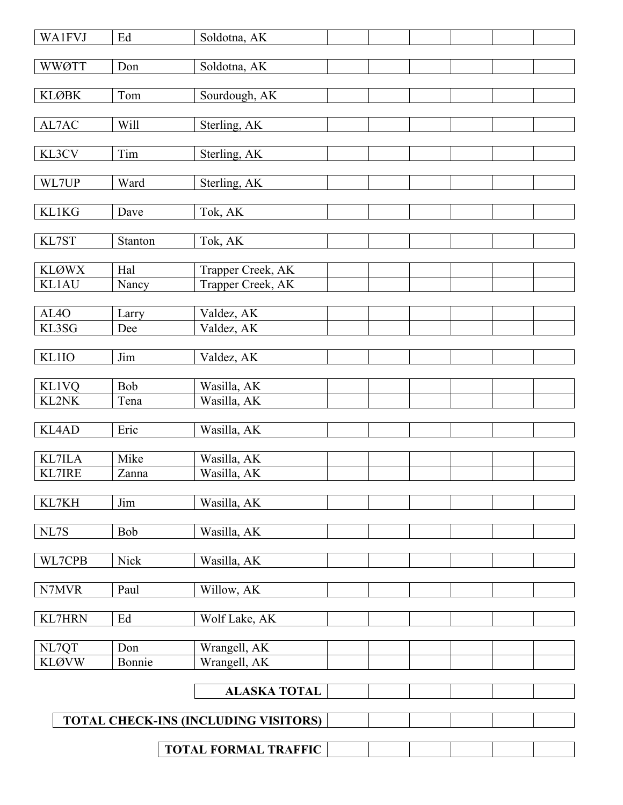| <b>WA1FVJ</b>                  | Ed                          | Soldotna, AK                                |  |  |  |  |  |  |  |
|--------------------------------|-----------------------------|---------------------------------------------|--|--|--|--|--|--|--|
| <b>WWØTT</b>                   | Don                         | Soldotna, AK                                |  |  |  |  |  |  |  |
|                                |                             |                                             |  |  |  |  |  |  |  |
| <b>KLØBK</b>                   | Tom                         | Sourdough, AK                               |  |  |  |  |  |  |  |
|                                |                             |                                             |  |  |  |  |  |  |  |
| AL7AC                          | Will                        | Sterling, AK                                |  |  |  |  |  |  |  |
| KL3CV                          | Tim                         | Sterling, AK                                |  |  |  |  |  |  |  |
|                                |                             |                                             |  |  |  |  |  |  |  |
| WL7UP                          | Ward                        | Sterling, AK                                |  |  |  |  |  |  |  |
|                                |                             |                                             |  |  |  |  |  |  |  |
| <b>KL1KG</b>                   | Dave                        | Tok, AK                                     |  |  |  |  |  |  |  |
| KL7ST                          | Stanton                     | Tok, AK                                     |  |  |  |  |  |  |  |
|                                |                             |                                             |  |  |  |  |  |  |  |
| <b>KLØWX</b>                   | Hal                         | Trapper Creek, AK                           |  |  |  |  |  |  |  |
| <b>KL1AU</b>                   | Nancy                       | Trapper Creek, AK                           |  |  |  |  |  |  |  |
| AL <sub>4</sub> O              | Larry                       | Valdez, AK                                  |  |  |  |  |  |  |  |
| KL3SG                          | Dee                         | Valdez, AK                                  |  |  |  |  |  |  |  |
|                                |                             |                                             |  |  |  |  |  |  |  |
| <b>KL1IO</b>                   | Jim                         | Valdez, AK                                  |  |  |  |  |  |  |  |
| <b>KL1VQ</b>                   | Bob                         | Wasilla, AK                                 |  |  |  |  |  |  |  |
| <b>KL2NK</b>                   | Tena                        | Wasilla, AK                                 |  |  |  |  |  |  |  |
|                                |                             |                                             |  |  |  |  |  |  |  |
| KL4AD                          | Eric                        | Wasilla, AK                                 |  |  |  |  |  |  |  |
|                                |                             |                                             |  |  |  |  |  |  |  |
| <b>KL7ILA</b><br><b>KL7IRE</b> | Mike<br>Zanna               | Wasilla, AK<br>Wasilla, AK                  |  |  |  |  |  |  |  |
|                                |                             |                                             |  |  |  |  |  |  |  |
| KL7KH                          | Jim                         | Wasilla, AK                                 |  |  |  |  |  |  |  |
|                                |                             |                                             |  |  |  |  |  |  |  |
| NL7S                           | Bob                         | Wasilla, AK                                 |  |  |  |  |  |  |  |
| WL7CPB                         | Nick                        | Wasilla, AK                                 |  |  |  |  |  |  |  |
|                                |                             |                                             |  |  |  |  |  |  |  |
| N7MVR                          | Paul                        | Willow, AK                                  |  |  |  |  |  |  |  |
|                                |                             |                                             |  |  |  |  |  |  |  |
| <b>KL7HRN</b>                  | Ed                          | Wolf Lake, AK                               |  |  |  |  |  |  |  |
| NL7QT                          | Don                         | Wrangell, AK                                |  |  |  |  |  |  |  |
| <b>KLØVW</b>                   | Bonnie                      | Wrangell, AK                                |  |  |  |  |  |  |  |
|                                |                             |                                             |  |  |  |  |  |  |  |
|                                |                             | <b>ALASKA TOTAL</b>                         |  |  |  |  |  |  |  |
|                                |                             | <b>TOTAL CHECK-INS (INCLUDING VISITORS)</b> |  |  |  |  |  |  |  |
|                                |                             |                                             |  |  |  |  |  |  |  |
|                                | <b>TOTAL FORMAL TRAFFIC</b> |                                             |  |  |  |  |  |  |  |